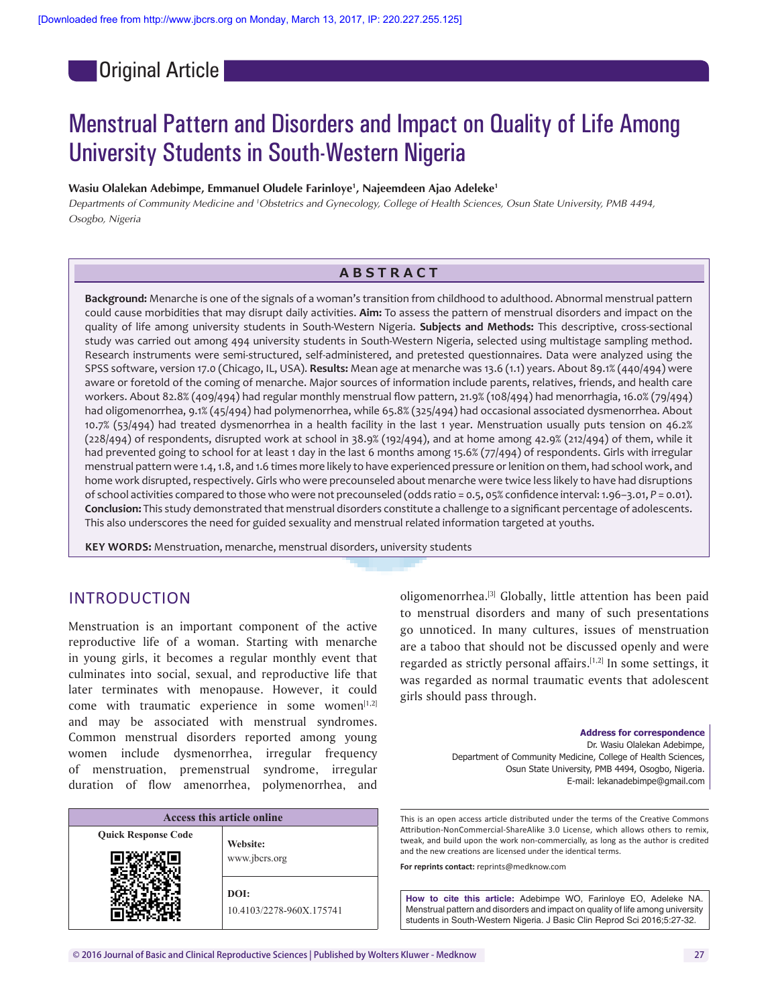Original Article

# Menstrual Pattern and Disorders and Impact on Quality of Life Among University Students in South-Western Nigeria

#### **Wasiu Olalekan Adebimpe, Emmanuel Oludele Farinloye1 , Najeemdeen Ajao Adeleke1**

Departments of Community Medicine and <sup>1</sup>Obstetrics and Gynecology, College of Health Sciences, Osun State University, PMB 4494, *Osogbo, Nigeria*

# **ABSTRACT**

**Background:** Menarche is one of the signals of a woman's transition from childhood to adulthood. Abnormal menstrual pattern could cause morbidities that may disrupt daily activities. **Aim:** To assess the pattern of menstrual disorders and impact on the quality of life among university students in South-Western Nigeria. **Subjects and Methods:** This descriptive, cross-sectional study was carried out among 494 university students in South-Western Nigeria, selected using multistage sampling method. Research instruments were semi-structured, self-administered, and pretested questionnaires. Data were analyzed using the SPSS software, version 17.0 (Chicago, IL, USA). **Results:** Mean age at menarche was 13.6 (1.1) years. About 89.1% (440/494) were aware or foretold of the coming of menarche. Major sources of information include parents, relatives, friends, and health care workers. About 82.8% (409/494) had regular monthly menstrual flow pattern, 21.9% (108/494) had menorrhagia, 16.0% (79/494) had oligomenorrhea, 9.1% (45/494) had polymenorrhea, while 65.8% (325/494) had occasional associated dysmenorrhea. About 10.7% (53/494) had treated dysmenorrhea in a health facility in the last 1 year. Menstruation usually puts tension on 46.2% (228/494) of respondents, disrupted work at school in 38.9% (192/494), and at home among 42.9% (212/494) of them, while it had prevented going to school for at least 1 day in the last 6 months among 15.6% (77/494) of respondents. Girls with irregular menstrual pattern were 1.4, 1.8, and 1.6 times more likely to have experienced pressure or lenition on them, had school work, and home work disrupted, respectively. Girls who were precounseled about menarche were twice less likely to have had disruptions of school activities compared to those who were not precounseled (odds ratio = 0.5, 05% confidence interval: 1.96–3.01, *P* = 0.01). **Conclusion:** This study demonstrated that menstrual disorders constitute a challenge to a significant percentage of adolescents. This also underscores the need for guided sexuality and menstrual related information targeted at youths.

**KEY WORDS:** Menstruation, menarche, menstrual disorders, university students

# INTRODUCTION

Menstruation is an important component of the active reproductive life of a woman. Starting with menarche in young girls, it becomes a regular monthly event that culminates into social, sexual, and reproductive life that later terminates with menopause. However, it could come with traumatic experience in some women $[1,2]$ and may be associated with menstrual syndromes. Common menstrual disorders reported among young women include dysmenorrhea, irregular frequency of menstruation, premenstrual syndrome, irregular duration of flow amenorrhea, polymenorrhea, and

| Access this article online |                          |  |
|----------------------------|--------------------------|--|
| <b>Quick Response Code</b> | Website:                 |  |
|                            | www.jbcrs.org            |  |
|                            | DOI:                     |  |
|                            | 10.4103/2278-960X.175741 |  |

oligomenorrhea.[3] Globally, little attention has been paid to menstrual disorders and many of such presentations go unnoticed. In many cultures, issues of menstruation are a taboo that should not be discussed openly and were regarded as strictly personal affairs.<sup>[1,2]</sup> In some settings, it was regarded as normal traumatic events that adolescent girls should pass through.

> **Address for correspondence** Dr. Wasiu Olalekan Adebimpe, Department of Community Medicine, College of Health Sciences, Osun State University, PMB 4494, Osogbo, Nigeria. E-mail: lekanadebimpe@gmail.com

This is an open access article distributed under the terms of the Creative Commons Attribution‑NonCommercial‑ShareAlike 3.0 License, which allows others to remix, tweak, and build upon the work non‑commercially, as long as the author is credited and the new creations are licensed under the identical terms.

**For reprints contact:** reprints@medknow.com

**How to cite this article:** Adebimpe WO, Farinloye EO, Adeleke NA. Menstrual pattern and disorders and impact on quality of life among university students in South-Western Nigeria. J Basic Clin Reprod Sci 2016;5:27-32.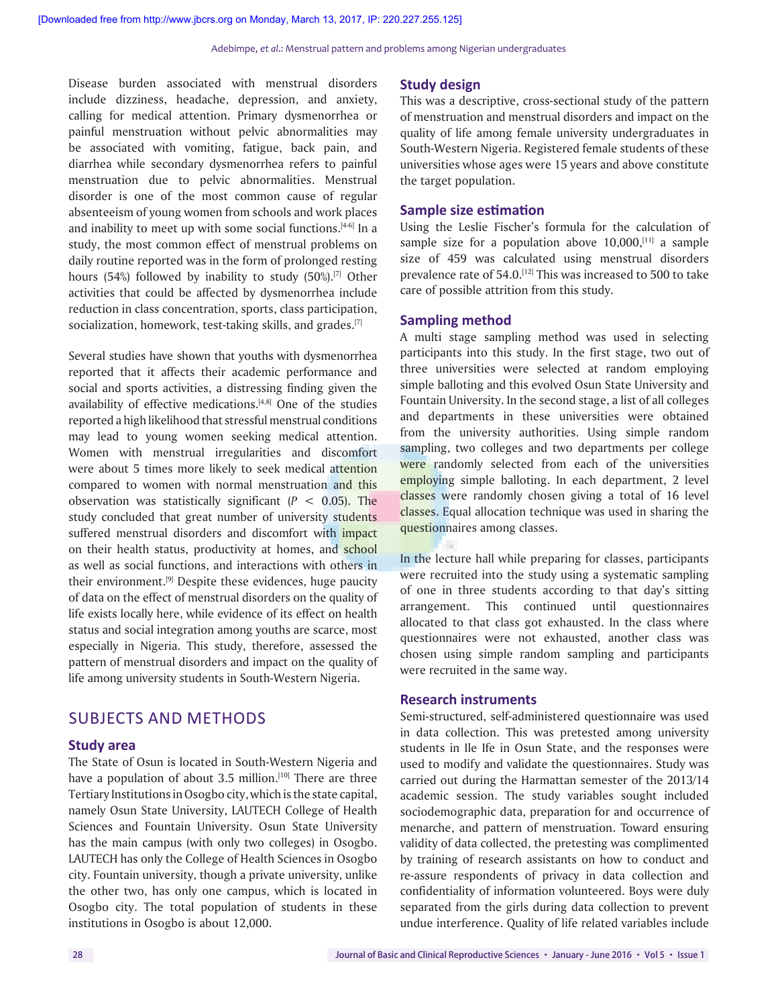Disease burden associated with menstrual disorders include dizziness, headache, depression, and anxiety, calling for medical attention. Primary dysmenorrhea or painful menstruation without pelvic abnormalities may be associated with vomiting, fatigue, back pain, and diarrhea while secondary dysmenorrhea refers to painful menstruation due to pelvic abnormalities. Menstrual disorder is one of the most common cause of regular absenteeism of young women from schools and work places and inability to meet up with some social functions.<sup>[4-6]</sup> In a study, the most common effect of menstrual problems on daily routine reported was in the form of prolonged resting hours (54%) followed by inability to study  $(50\%)$ .<sup>[7]</sup> Other activities that could be affected by dysmenorrhea include reduction in class concentration, sports, class participation, socialization, homework, test-taking skills, and grades.<sup>[7]</sup>

Several studies have shown that youths with dysmenorrhea reported that it affects their academic performance and social and sports activities, a distressing finding given the availability of effective medications.<sup>[4,8]</sup> One of the studies reported a high likelihood that stressful menstrual conditions may lead to young women seeking medical attention. Women with menstrual irregularities and discomfort were about 5 times more likely to seek medical attention compared to women with normal menstruation and this observation was statistically significant  $(P < 0.05)$ . The study concluded that great number of university students suffered menstrual disorders and discomfort with impact on their health status, productivity at homes, and school as well as social functions, and interactions with others in their environment.<sup>[9]</sup> Despite these evidences, huge paucity of data on the effect of menstrual disorders on the quality of life exists locally here, while evidence of its effect on health status and social integration among youths are scarce, most especially in Nigeria. This study, therefore, assessed the pattern of menstrual disorders and impact on the quality of life among university students in South-Western Nigeria.

# SUBJECTS AND METHODS

#### **Study area**

The State of Osun is located in South-Western Nigeria and have a population of about 3.5 million.<sup>[10]</sup> There are three Tertiary Institutions in Osogbo city, which is the state capital, namely Osun State University, LAUTECH College of Health Sciences and Fountain University. Osun State University has the main campus (with only two colleges) in Osogbo. LAUTECH has only the College of Health Sciences in Osogbo city. Fountain university, though a private university, unlike the other two, has only one campus, which is located in Osogbo city. The total population of students in these institutions in Osogbo is about 12,000.

# **Study design**

This was a descriptive, cross-sectional study of the pattern of menstruation and menstrual disorders and impact on the quality of life among female university undergraduates in South-Western Nigeria. Registered female students of these universities whose ages were 15 years and above constitute the target population.

### **Sample size estimation**

Using the Leslie Fischer's formula for the calculation of sample size for a population above  $10,000$ ,  $[11]$  a sample size of 459 was calculated using menstrual disorders prevalence rate of 54.0.<sup>[12]</sup> This was increased to 500 to take care of possible attrition from this study.

# **Sampling method**

T.

A multi stage sampling method was used in selecting participants into this study. In the first stage, two out of three universities were selected at random employing simple balloting and this evolved Osun State University and Fountain University. In the second stage, a list of all colleges and departments in these universities were obtained from the university authorities. Using simple random sampling, two colleges and two departments per college were randomly selected from each of the universities employing simple balloting. In each department, 2 level classes were randomly chosen giving a total of 16 level classes. Equal allocation technique was used in sharing the questionnaires among classes.

In the lecture hall while preparing for classes, participants were recruited into the study using a systematic sampling of one in three students according to that day's sitting arrangement. This continued until questionnaires allocated to that class got exhausted. In the class where questionnaires were not exhausted, another class was chosen using simple random sampling and participants were recruited in the same way.

# **Research instruments**

Semi-structured, self-administered questionnaire was used in data collection. This was pretested among university students in Ile Ife in Osun State, and the responses were used to modify and validate the questionnaires. Study was carried out during the Harmattan semester of the 2013/14 academic session. The study variables sought included sociodemographic data, preparation for and occurrence of menarche, and pattern of menstruation. Toward ensuring validity of data collected, the pretesting was complimented by training of research assistants on how to conduct and re-assure respondents of privacy in data collection and confidentiality of information volunteered. Boys were duly separated from the girls during data collection to prevent undue interference. Quality of life related variables include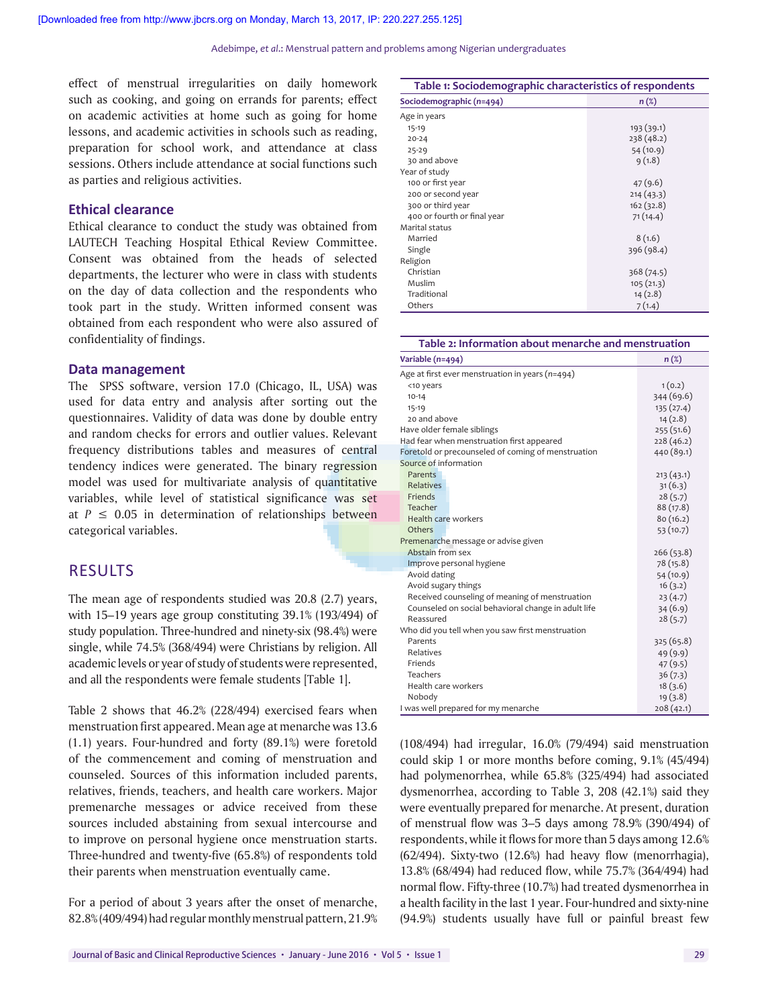effect of menstrual irregularities on daily homework such as cooking, and going on errands for parents; effect on academic activities at home such as going for home lessons, and academic activities in schools such as reading, preparation for school work, and attendance at class sessions. Others include attendance at social functions such as parties and religious activities.

# **Ethical clearance**

Ethical clearance to conduct the study was obtained from LAUTECH Teaching Hospital Ethical Review Committee. Consent was obtained from the heads of selected departments, the lecturer who were in class with students on the day of data collection and the respondents who took part in the study. Written informed consent was obtained from each respondent who were also assured of confidentiality of findings.

### **Data management**

The SPSS software, version 17.0 (Chicago, IL, USA) was used for data entry and analysis after sorting out the questionnaires. Validity of data was done by double entry and random checks for errors and outlier values. Relevant frequency distributions tables and measures of central tendency indices were generated. The binary regression model was used for multivariate analysis of quantitative variables, while level of statistical significance was set at  $P \leq 0.05$  in determination of relationships between categorical variables.

# **RESULTS**

The mean age of respondents studied was 20.8 (2.7) years, with 15–19 years age group constituting 39.1% (193/494) of study population. Three-hundred and ninety-six (98.4%) were single, while 74.5% (368/494) were Christians by religion. All academic levels or year of study of students were represented, and all the respondents were female students [Table 1].

Table 2 shows that 46.2% (228/494) exercised fears when menstruation first appeared. Mean age at menarche was 13.6 (1.1) years. Four-hundred and forty (89.1%) were foretold of the commencement and coming of menstruation and counseled. Sources of this information included parents, relatives, friends, teachers, and health care workers. Major premenarche messages or advice received from these sources included abstaining from sexual intercourse and to improve on personal hygiene once menstruation starts. Three-hundred and twenty-five (65.8%) of respondents told their parents when menstruation eventually came.

For a period of about 3 years after the onset of menarche, 82.8% (409/494) had regular monthly menstrual pattern, 21.9%

| Table 1: Sociodemographic characteristics of respondents |            |  |  |
|----------------------------------------------------------|------------|--|--|
| Sociodemographic (n=494)                                 | n (%)      |  |  |
| Age in years                                             |            |  |  |
| $15-19$                                                  | 193(39.1)  |  |  |
| $20 - 24$                                                | 238 (48.2) |  |  |
| $25 - 29$                                                | 54(10.9)   |  |  |
| 30 and above                                             | 9(1.8)     |  |  |
| Year of study                                            |            |  |  |
| 100 or first year                                        | 47(9.6)    |  |  |
| 200 or second year                                       | 214(43.3)  |  |  |
| 300 or third year                                        | 162(32.8)  |  |  |
| 400 or fourth or final year                              | 71(14.4)   |  |  |
| Marital status                                           |            |  |  |
| Married                                                  | 8(1.6)     |  |  |
| Single                                                   | 396 (98.4) |  |  |
| Religion                                                 |            |  |  |
| Christian                                                | 368(74.5)  |  |  |
| Muslim                                                   | 105(21.3)  |  |  |
| Traditional                                              | 14(2.8)    |  |  |
| Others                                                   | 7(1.4)     |  |  |

| Table 2: Information about menarche and menstruation |            |  |  |  |
|------------------------------------------------------|------------|--|--|--|
| Variable (n=494)                                     | $n(\%)$    |  |  |  |
| Age at first ever menstruation in years ( $n=494$ )  |            |  |  |  |
| <10 years                                            | 1(0.2)     |  |  |  |
| $10 - 14$                                            | 344 (69.6) |  |  |  |
| $15-19$                                              | 135 (27.4) |  |  |  |
| 20 and above                                         | 14(2.8)    |  |  |  |
| Have older female siblings                           | 255(51.6)  |  |  |  |
| Had fear when menstruation first appeared            | 228(46.2)  |  |  |  |
| Foretold or precounseled of coming of menstruation   | 440 (89.1) |  |  |  |
| Source of information                                |            |  |  |  |
| Parents                                              | 213(43.1)  |  |  |  |
| <b>Relatives</b>                                     | 31(6.3)    |  |  |  |
| Friends                                              | 28(5.7)    |  |  |  |
| Teacher                                              | 88 (17.8)  |  |  |  |
| Health care workers                                  | 80(16.2)   |  |  |  |
| Others                                               | 53(10.7)   |  |  |  |
| Premenarche message or advise given                  |            |  |  |  |
| Abstain from sex                                     | 266 (53.8) |  |  |  |
| Improve personal hygiene                             | 78 (15.8)  |  |  |  |
| Avoid dating                                         | 54 (10.9)  |  |  |  |
| Avoid sugary things                                  | 16(3.2)    |  |  |  |
| Received counseling of meaning of menstruation       | 23(4.7)    |  |  |  |
| Counseled on social behavioral change in adult life  | 34(6.9)    |  |  |  |
| Reassured                                            | 28(5.7)    |  |  |  |
| Who did you tell when you saw first menstruation     |            |  |  |  |
| Parents                                              | 325 (65.8) |  |  |  |
| <b>Relatives</b>                                     | 49(9.9)    |  |  |  |
| Friends                                              | 47(9.5)    |  |  |  |
| Teachers                                             | 36(7.3)    |  |  |  |
| Health care workers                                  | 18(3.6)    |  |  |  |
| Nobody                                               | 19(3.8)    |  |  |  |
| I was well prepared for my menarche                  | 208(42.1)  |  |  |  |

(108/494) had irregular, 16.0% (79/494) said menstruation could skip 1 or more months before coming, 9.1% (45/494) had polymenorrhea, while 65.8% (325/494) had associated dysmenorrhea, according to Table 3, 208 (42.1%) said they were eventually prepared for menarche. At present, duration of menstrual flow was 3–5 days among 78.9% (390/494) of respondents, while it flows for more than 5 days among 12.6% (62/494). Sixty-two (12.6%) had heavy flow (menorrhagia), 13.8% (68/494) had reduced flow, while 75.7% (364/494) had normal flow. Fifty-three (10.7%) had treated dysmenorrhea in a health facility in the last 1 year. Four-hundred and sixty-nine (94.9%) students usually have full or painful breast few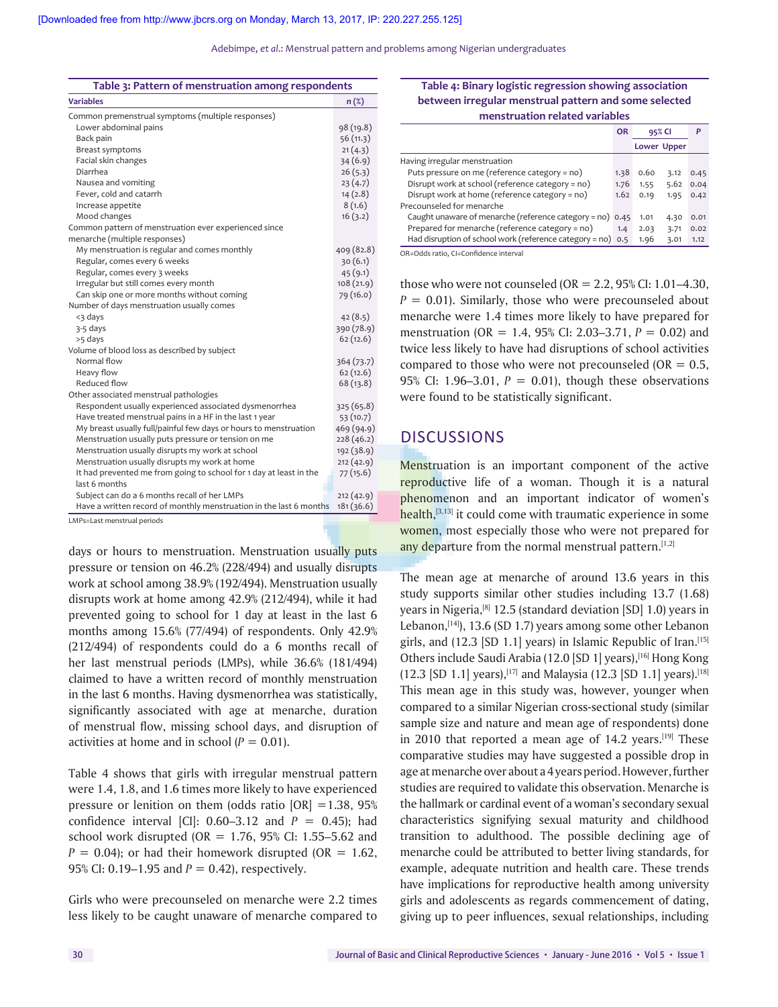Adebimpe, *et al*.: Menstrual pattern and problems among Nigerian undergraduates

| Table 3: Pattern of menstruation among respondents                 |                  |  |  |
|--------------------------------------------------------------------|------------------|--|--|
| <b>Variables</b>                                                   | $n(\mathcal{E})$ |  |  |
| Common premenstrual symptoms (multiple responses)                  |                  |  |  |
| Lower abdominal pains                                              | 98 (19.8)        |  |  |
| Back pain                                                          | 56(11.3)         |  |  |
| Breast symptoms                                                    | 21(4.3)          |  |  |
| Facial skin changes                                                | 34(6.9)          |  |  |
| Diarrhea                                                           | 26(5.3)          |  |  |
| Nausea and vomiting                                                | 23(4.7)          |  |  |
| Fever, cold and catarrh                                            | 14(2.8)          |  |  |
| Increase appetite                                                  | 8(1.6)           |  |  |
| Mood changes                                                       | 16(3.2)          |  |  |
| Common pattern of menstruation ever experienced since              |                  |  |  |
| menarche (multiple responses)                                      |                  |  |  |
| My menstruation is regular and comes monthly                       | 409 (82.8)       |  |  |
| Regular, comes every 6 weeks                                       | 30(6.1)          |  |  |
| Regular, comes every 3 weeks                                       | 45(9.1)          |  |  |
| Irregular but still comes every month                              | 108(21.9)        |  |  |
| Can skip one or more months without coming                         | 79 (16.0)        |  |  |
| Number of days menstruation usually comes                          |                  |  |  |
| <3 days                                                            | 42(8.5)          |  |  |
| 3-5 days                                                           | 390 (78.9)       |  |  |
| >5 days                                                            | 62(12.6)         |  |  |
| Volume of blood loss as described by subject                       |                  |  |  |
| Normal flow                                                        | 364 (73.7)       |  |  |
| Heavy flow                                                         | 62(12.6)         |  |  |
| Reduced flow                                                       | 68(13.8)         |  |  |
| Other associated menstrual pathologies                             |                  |  |  |
| Respondent usually experienced associated dysmenorrhea             | 325 (65.8)       |  |  |
| Have treated menstrual pains in a HF in the last 1 year            | 53 (10.7)        |  |  |
| My breast usually full/painful few days or hours to menstruation   | 469 (94.9)       |  |  |
| Menstruation usually puts pressure or tension on me                | 228(46.2)        |  |  |
| Menstruation usually disrupts my work at school                    | 192 (38.9)       |  |  |
| Menstruation usually disrupts my work at home                      | 212(42.9)        |  |  |
| It had prevented me from going to school for 1 day at least in the | 77(15.6)         |  |  |
| last 6 months                                                      |                  |  |  |
| Subject can do a 6 months recall of her LMPs                       | 212(42.9)        |  |  |
| Have a written record of monthly menstruation in the last 6 months | 181(36.6)        |  |  |

LMPs=Last menstrual periods

days or hours to menstruation. Menstruation usually puts pressure or tension on 46.2% (228/494) and usually disrupts work at school among 38.9% (192/494). Menstruation usually disrupts work at home among 42.9% (212/494), while it had prevented going to school for 1 day at least in the last 6 months among 15.6% (77/494) of respondents. Only 42.9% (212/494) of respondents could do a 6 months recall of her last menstrual periods (LMPs), while 36.6% (181/494) claimed to have a written record of monthly menstruation in the last 6 months. Having dysmenorrhea was statistically, significantly associated with age at menarche, duration of menstrual flow, missing school days, and disruption of activities at home and in school  $(P = 0.01)$ .

Table 4 shows that girls with irregular menstrual pattern were 1.4, 1.8, and 1.6 times more likely to have experienced pressure or lenition on them (odds ratio  $|OR| = 1.38$ , 95% confidence interval [CI]: 0.60–3.12 and *P* = 0.45); had school work disrupted (OR =  $1.76$ , 95% CI: 1.55–5.62 and  $P = 0.04$ ); or had their homework disrupted (OR = 1.62, 95% CI: 0.19–1.95 and *P* = 0.42), respectively.

Girls who were precounseled on menarche were 2.2 times less likely to be caught unaware of menarche compared to

#### **Table 4: Binary logistic regression showing association between irregular menstrual pattern and some selected menstruation related variables**

|                                                               | <b>OR</b><br>95% CI |      |                    | P    |  |  |
|---------------------------------------------------------------|---------------------|------|--------------------|------|--|--|
|                                                               |                     |      | <b>Lower Upper</b> |      |  |  |
| Having irregular menstruation                                 |                     |      |                    |      |  |  |
| Puts pressure on me (reference category = no)                 | 1.38                | 0.60 | 3.12               | 0.45 |  |  |
| Disrupt work at school (reference category = no)              | 1.76                | 1.55 | 5.62               | 0.04 |  |  |
| Disrupt work at home (reference category = no)                | 1.62                | 0.19 | 1.95               | 0.42 |  |  |
| Precounseled for menarche                                     |                     |      |                    |      |  |  |
| Caught unaware of menarche (reference category = no) 0.45     |                     | 1.01 | 4.30               | 0.01 |  |  |
| Prepared for menarche (reference category = no)               | 1.4                 | 2.03 | 3.71               | 0.02 |  |  |
| Had disruption of school work (reference category = $no)$ 0.5 |                     | 1.96 | 3.01               | 1.12 |  |  |
|                                                               |                     |      |                    |      |  |  |

OR=Odds ratio, CI=Confidence interval

those who were not counseled (OR = 2.2, 95% CI: 1.01–4.30,  $P = 0.01$ ). Similarly, those who were precounseled about menarche were 1.4 times more likely to have prepared for menstruation (OR = 1.4, 95% CI: 2.03–3.71, *P* = 0.02) and twice less likely to have had disruptions of school activities compared to those who were not precounseled ( $OR = 0.5$ , 95% CI: 1.96–3.01, *P* = 0.01), though these observations were found to be statistically significant.

# **DISCUSSIONS**

Menstruation is an important component of the active reproductive life of a woman. Though it is a natural phenomenon and an important indicator of women's health, $[3,13]$  it could come with traumatic experience in some women, most especially those who were not prepared for any departure from the normal menstrual pattern.<sup>[1,2]</sup>

The mean age at menarche of around 13.6 years in this study supports similar other studies including 13.7 (1.68) years in Nigeria,[8] 12.5 (standard deviation [SD] 1.0) years in Lebanon, $[14]$ , 13.6 (SD 1.7) years among some other Lebanon girls, and (12.3 [SD 1.1] years) in Islamic Republic of Iran.<sup>[15]</sup> Others include Saudi Arabia (12.0 [SD 1] years), [16] Hong Kong (12.3 [SD 1.1] years),<sup>[17]</sup> and Malaysia (12.3 [SD 1.1] years).<sup>[18]</sup> This mean age in this study was, however, younger when compared to a similar Nigerian cross-sectional study (similar sample size and nature and mean age of respondents) done in 2010 that reported a mean age of  $14.2$  years.<sup>[19]</sup> These comparative studies may have suggested a possible drop in age at menarche over about a 4 years period. However, further studies are required to validate this observation. Menarche is the hallmark or cardinal event of a woman's secondary sexual characteristics signifying sexual maturity and childhood transition to adulthood. The possible declining age of menarche could be attributed to better living standards, for example, adequate nutrition and health care. These trends have implications for reproductive health among university girls and adolescents as regards commencement of dating, giving up to peer influences, sexual relationships, including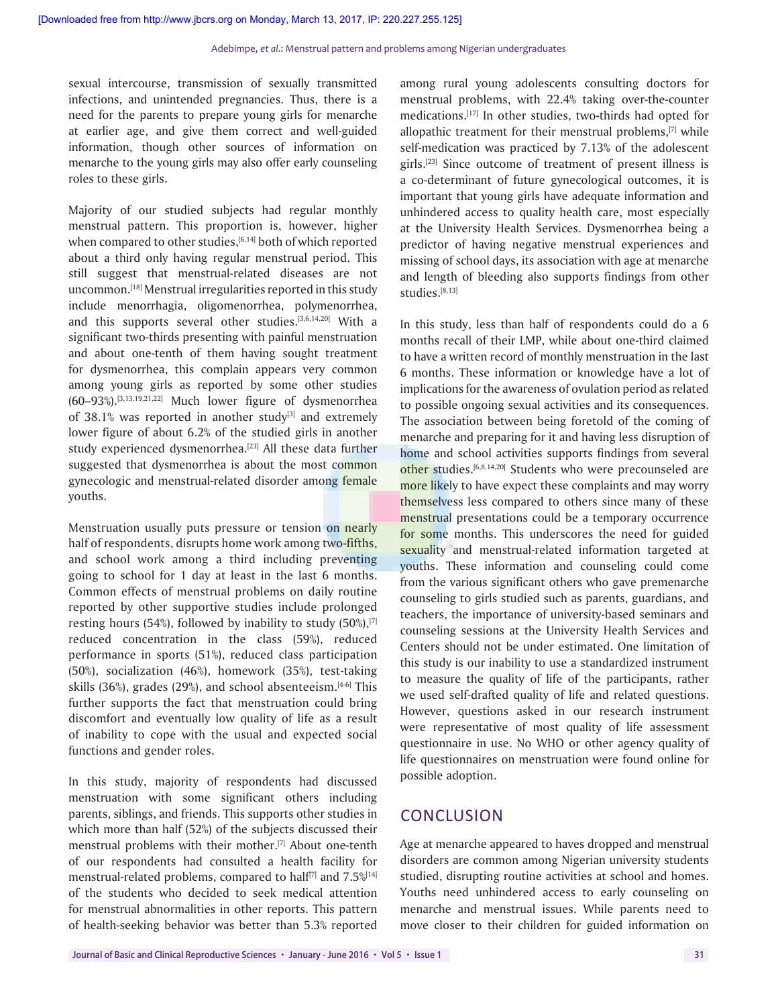sexual intercourse, transmission of sexually transmitted infections, and unintended pregnancies. Thus, there is a need for the parents to prepare young girls for menarche at earlier age, and give them correct and well-guided information, though other sources of information on menarche to the young girls may also offer early counseling roles to these girls.

Majority of our studied subjects had regular monthly menstrual pattern. This proportion is, however, higher when compared to other studies,  $[6,14]$  both of which reported about a third only having regular menstrual period. This still suggest that menstrual-related diseases are not uncommon.[18] Menstrual irregularities reported in this study include menorrhagia, oligomenorrhea, polymenorrhea, and this supports several other studies.[3,6,14,20] With a significant two-thirds presenting with painful menstruation and about one-tenth of them having sought treatment for dysmenorrhea, this complain appears very common among young girls as reported by some other studies  $(60-93%)$ .<sup>[3,13,19,21,22]</sup> Much lower figure of dysmenorrhea of 38.1% was reported in another study $[3]$  and extremely lower figure of about 6.2% of the studied girls in another study experienced dysmenorrhea.<sup>[23]</sup> All these data further suggested that dysmenorrhea is about the most common gynecologic and menstrual-related disorder among female youths.

Menstruation usually puts pressure or tension on nearly half of respondents, disrupts home work among two-fifths, and school work among a third including preventing going to school for 1 day at least in the last 6 months. Common effects of menstrual problems on daily routine reported by other supportive studies include prolonged resting hours (54%), followed by inability to study (50%), $[7]$ reduced concentration in the class (59%), reduced performance in sports (51%), reduced class participation (50%), socialization (46%), homework (35%), test-taking skills (36%), grades (29%), and school absenteeism. $[4-6]$  This further supports the fact that menstruation could bring discomfort and eventually low quality of life as a result of inability to cope with the usual and expected social functions and gender roles.

In this study, majority of respondents had discussed menstruation with some significant others including parents, siblings, and friends. This supports other studies in which more than half (52%) of the subjects discussed their menstrual problems with their mother.<sup>[7]</sup> About one-tenth of our respondents had consulted a health facility for menstrual-related problems, compared to half<sup>[7]</sup> and  $7.5\%$ <sup>[14]</sup> of the students who decided to seek medical attention for menstrual abnormalities in other reports. This pattern of health-seeking behavior was better than 5.3% reported

among rural young adolescents consulting doctors for menstrual problems, with 22.4% taking over-the-counter medications.[17] In other studies, two-thirds had opted for allopathic treatment for their menstrual problems, $[7]$  while self-medication was practiced by 7.13% of the adolescent girls.[23] Since outcome of treatment of present illness is a co-determinant of future gynecological outcomes, it is important that young girls have adequate information and unhindered access to quality health care, most especially at the University Health Services. Dysmenorrhea being a predictor of having negative menstrual experiences and missing of school days, its association with age at menarche and length of bleeding also supports findings from other studies.[8,13]

In this study, less than half of respondents could do a 6 months recall of their LMP, while about one-third claimed to have a written record of monthly menstruation in the last 6 months. These information or knowledge have a lot of implications for the awareness of ovulation period as related to possible ongoing sexual activities and its consequences. The association between being foretold of the coming of menarche and preparing for it and having less disruption of home and school activities supports findings from several other studies.<sup>[6,8,14,20]</sup> Students who were precounseled are more likely to have expect these complaints and may worry themselvess less compared to others since many of these menstrual presentations could be a temporary occurrence for some months. This underscores the need for guided sexuality and menstrual-related information targeted at youths. These information and counseling could come from the various significant others who gave premenarche counseling to girls studied such as parents, guardians, and teachers, the importance of university-based seminars and counseling sessions at the University Health Services and Centers should not be under estimated. One limitation of this study is our inability to use a standardized instrument to measure the quality of life of the participants, rather we used self-drafted quality of life and related questions. However, questions asked in our research instrument were representative of most quality of life assessment questionnaire in use. No WHO or other agency quality of life questionnaires on menstruation were found online for possible adoption.

# **CONCLUSION**

Age at menarche appeared to haves dropped and menstrual disorders are common among Nigerian university students studied, disrupting routine activities at school and homes. Youths need unhindered access to early counseling on menarche and menstrual issues. While parents need to move closer to their children for guided information on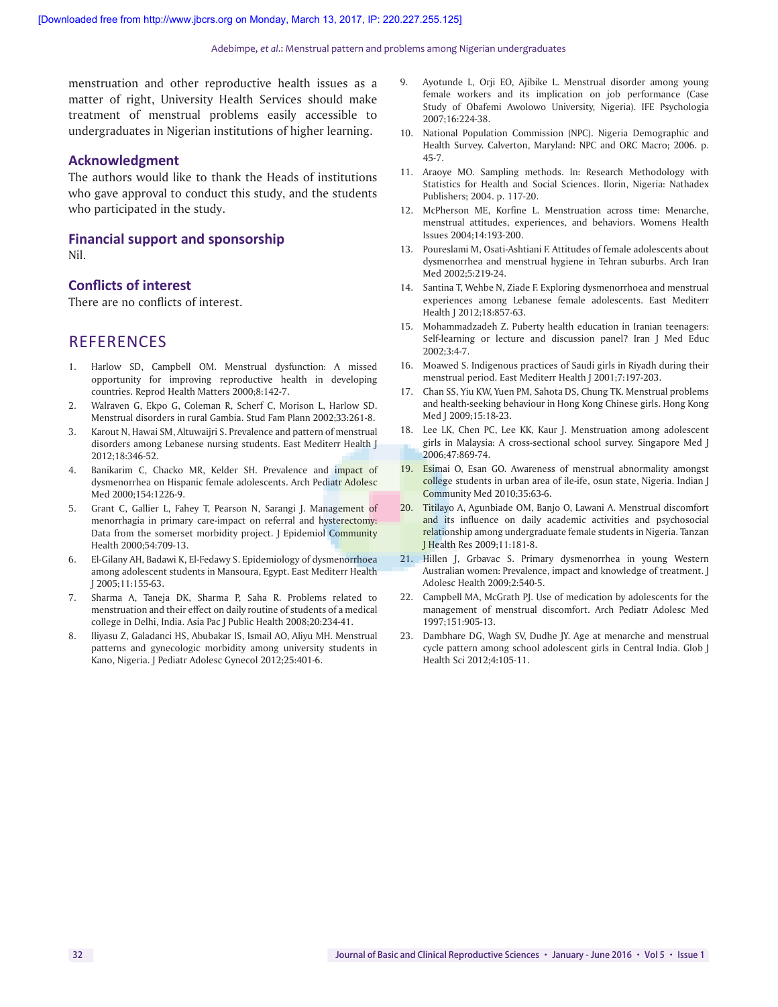#### Adebimpe, *et al*.: Menstrual pattern and problems among Nigerian undergraduates

menstruation and other reproductive health issues as a matter of right, University Health Services should make treatment of menstrual problems easily accessible to undergraduates in Nigerian institutions of higher learning.

# **Acknowledgment**

The authors would like to thank the Heads of institutions who gave approval to conduct this study, and the students who participated in the study.

#### **Financial support and sponsorship**  Nil.

#### **Conflicts of interest**

There are no conflicts of interest.

# **REFERENCES**

- 1. Harlow SD, Campbell OM. Menstrual dysfunction: A missed opportunity for improving reproductive health in developing countries. Reprod Health Matters 2000;8:142-7.
- 2. Walraven G, Ekpo G, Coleman R, Scherf C, Morison L, Harlow SD. Menstrual disorders in rural Gambia. Stud Fam Plann 2002;33:261-8.
- 3. Karout N, Hawai SM, Altuwaijri S. Prevalence and pattern of menstrual disorders among Lebanese nursing students. East Mediterr Health J 2012;18:346-52.
- 4. Banikarim C, Chacko MR, Kelder SH. Prevalence and impact of dysmenorrhea on Hispanic female adolescents. Arch Pediatr Adolesc Med 2000;154:1226-9.
- 5. Grant C, Gallier L, Fahey T, Pearson N, Sarangi J. Management of menorrhagia in primary care-impact on referral and hysterectomy: Data from the somerset morbidity project. J Epidemiol Community Health 2000;54:709-13.
- 6. El-Gilany AH, Badawi K, El-Fedawy S. Epidemiology of dysmenorrhoea among adolescent students in Mansoura, Egypt. East Mediterr Health J 2005;11:155-63.
- 7. Sharma A, Taneja DK, Sharma P, Saha R. Problems related to menstruation and their effect on daily routine of students of a medical college in Delhi, India. Asia Pac J Public Health 2008;20:234-41.
- 8. Iliyasu Z, Galadanci HS, Abubakar IS, Ismail AO, Aliyu MH. Menstrual patterns and gynecologic morbidity among university students in Kano, Nigeria. J Pediatr Adolesc Gynecol 2012;25:401-6.
- 9. Ayotunde L, Orji EO, Ajibike L. Menstrual disorder among young female workers and its implication on job performance (Case Study of Obafemi Awolowo University, Nigeria). IFE Psychologia 2007;16:224-38.
- 10. National Population Commission (NPC). Nigeria Demographic and Health Survey. Calverton, Maryland: NPC and ORC Macro; 2006. p. 45-7.
- 11. Araoye MO. Sampling methods. In: Research Methodology with Statistics for Health and Social Sciences. Ilorin, Nigeria: Nathadex Publishers; 2004. p. 117-20.
- 12. McPherson ME, Korfine L. Menstruation across time: Menarche, menstrual attitudes, experiences, and behaviors. Womens Health Issues 2004;14:193-200.
- 13. Poureslami M, Osati-Ashtiani F. Attitudes of female adolescents about dysmenorrhea and menstrual hygiene in Tehran suburbs. Arch Iran Med 2002;5:219-24.
- 14. Santina T, Wehbe N, Ziade F. Exploring dysmenorrhoea and menstrual experiences among Lebanese female adolescents. East Mediterr Health J 2012;18:857-63.
- 15. Mohammadzadeh Z. Puberty health education in Iranian teenagers: Self-learning or lecture and discussion panel? Iran J Med Educ 2002;3:4-7.
- 16. Moawed S. Indigenous practices of Saudi girls in Riyadh during their menstrual period. East Mediterr Health J 2001;7:197-203.
- 17. Chan SS, Yiu KW, Yuen PM, Sahota DS, Chung TK. Menstrual problems and health-seeking behaviour in Hong Kong Chinese girls. Hong Kong Med J 2009;15:18-23.
- 18. Lee LK, Chen PC, Lee KK, Kaur J. Menstruation among adolescent girls in Malaysia: A cross-sectional school survey. Singapore Med J 2006;47:869-74.
- 19. Esimai O, Esan GO. Awareness of menstrual abnormality amongst college students in urban area of ile-ife, osun state, Nigeria. Indian J Community Med 2010;35:63-6.
- 20. Titilayo A, Agunbiade OM, Banjo O, Lawani A. Menstrual discomfort and its influence on daily academic activities and psychosocial relationship among undergraduate female students in Nigeria. Tanzan J Health Res 2009;11:181-8.
- 21. Hillen J, Grbavac S. Primary dysmenorrhea in young Western Australian women: Prevalence, impact and knowledge of treatment. J Adolesc Health 2009;2:540-5.
- 22. Campbell MA, McGrath PJ. Use of medication by adolescents for the management of menstrual discomfort. Arch Pediatr Adolesc Med 1997;151:905-13.
- 23. Dambhare DG, Wagh SV, Dudhe JY. Age at menarche and menstrual cycle pattern among school adolescent girls in Central India. Glob J Health Sci 2012;4:105-11.